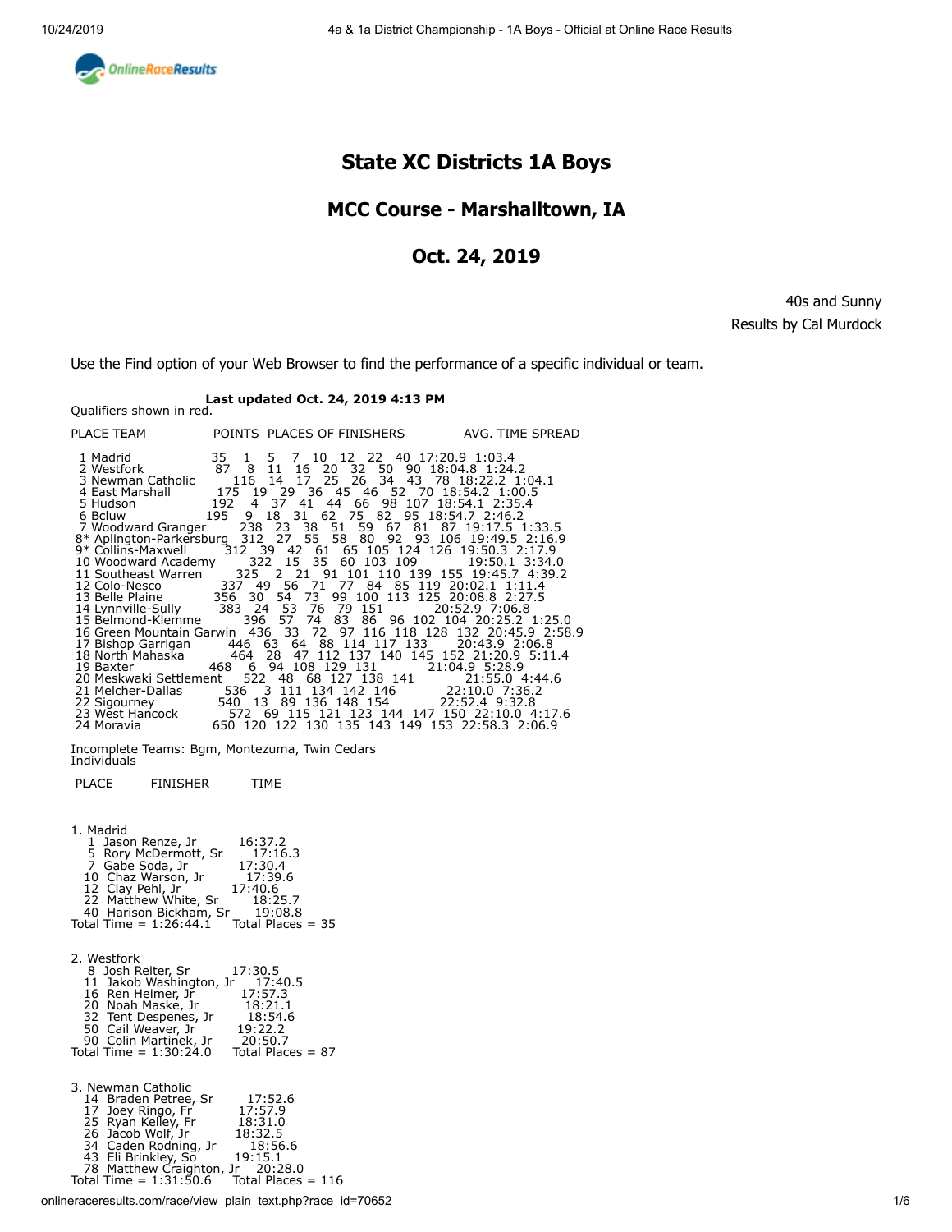<span id="page-0-0"></span>

# **State XC Districts 1A Boys**

## **MCC Course - Marshalltown, IA**

### **Oct. 24, 2019**

40s and Sunny Results by Cal Murdock

Use the Find option of your Web Browser to find the performance of a specific individual or team.

# **Last updated Oct. 24, 2019 4:13 PM** Qualifiers shown in red.

| PLACE TEAM                                                                                                                                                                                                                                                                                                                                                                                                                                                                                                                                                                                                                                                                                                                                                   |                               |              |                                                                                                                                         | POINTS PLACES OF FINISHERS AVG. TIME SPREAD                                                                                                                                                                                                                                                                                                                                                                                                                                                                                                                                                                                                                                                                                                                                                                                                                         |
|--------------------------------------------------------------------------------------------------------------------------------------------------------------------------------------------------------------------------------------------------------------------------------------------------------------------------------------------------------------------------------------------------------------------------------------------------------------------------------------------------------------------------------------------------------------------------------------------------------------------------------------------------------------------------------------------------------------------------------------------------------------|-------------------------------|--------------|-----------------------------------------------------------------------------------------------------------------------------------------|---------------------------------------------------------------------------------------------------------------------------------------------------------------------------------------------------------------------------------------------------------------------------------------------------------------------------------------------------------------------------------------------------------------------------------------------------------------------------------------------------------------------------------------------------------------------------------------------------------------------------------------------------------------------------------------------------------------------------------------------------------------------------------------------------------------------------------------------------------------------|
| 1 Madrid<br>2 Westfork<br>3 Newman Catholic<br>4 East Marshall<br>5 Hudson<br>6 Bcluw and the Book of the Second Second Second Second Second Second Second Second Second Second Second Second Second Second Second Second Second Second Second Second Second Second Second Second Second Second Second Secon<br>10 Woodward Academy 322 15 35 60 103 109<br>12 Colo-Nesco<br>13 Belle Plaine 356 30 54<br>14 Lynnville-Sully 383 24 53 76 79 151<br>15 Belmond-Klemme<br>17 Bishop Garrigan<br>18 North Mahaska<br>19 Baxter<br>20 Meskwaki Settlement<br>21 Melcher-Dallas 536 3 111 134 142 146 22:10.0 7:36.2<br>22 Sigourney<br>23 West Hancock 572 69 115 121 123 144 147 150 22:10.0 4:1/<br>24 Moravia 650 120 122 130 135 143 149 153 22:58.3 2:06.9 | 35 1<br>87 8<br>468<br>540 13 | 11<br>396 57 | 5 7 10 12 22 40 17:20.9 1:03.4<br>195 9 18 31 62 75 82 95 18:54.7 2:46.2<br>446 63 64 88 114 117 133<br>6 94 108 129 131 21:04.9 5:28.9 | 16 20 32 50 90 18:04.8 1:24.2<br>116 14 17 25 26 34 43 78 18:22.2 1:04.1<br>175 19 29 36 45 46 52 70 18:54.2 1:00.5<br>192 4 37 41 44 66 98 107 18:54.1 2:35.4<br>7 Woodward Granger 238 23 38 51 59 67 81 87 19:17.5 1:33.5<br>8* Aplington-Parkersburg 312 27 55 58 80 92 93 106 19:49.5 2:16.9<br>9* Collins-Maxwell 312 39 42 61 65 105 124 126 19:50.3 2:17.9<br>19:50.1 3:34.0<br>11 Southeast Warren 2325 2 21 91 101 110 139 155 19:45.7 4:39.2<br>337 49 56 71 77 84 85 119 20:02.1 1:11.4<br>73 99 100 113 125 20:08.8 2:27.5<br>20:52.9 7:06.8<br>74 83 86 96 102 104 20:25.2 1:25.0<br>16 Green Mountain Garwin 436 33 72 97 116 118 128 132 20:45.9 2:58.9<br>20:43.9 2:06.8<br>464 28 47 112 137 140 145 152 21:20.9 5:11.4<br>522 48 68 127 138 141 21:55.0 4:44.6<br>89 136 148 154 22:52.4 9:32.8<br>572 69 115 121 123 144 147 150 22:10.0 4:17.6 |

Incomplete Teams: Bgm, Montezuma, Twin Cedars [Individuals](#page-3-0)

PLACE FINISHER TIME

| 1. Madrid<br>16:37.2<br>1 Jason Renze, Jr<br>5 Rory McDermott, Sr<br>7 Gabe Soda, Jr<br>17:16.3<br>17:30.4<br>10 Chaz Warson, Jr<br>17:39.6<br>12 Clay Pehl, Jr<br>17:40.6<br>22 Matthew White, Sr<br>18:25.7<br>40 Harison Bickham, Sr<br>19:08.8<br>Total Time = $1:26:44.1$<br>Total Places $=$ 35             |
|-------------------------------------------------------------------------------------------------------------------------------------------------------------------------------------------------------------------------------------------------------------------------------------------------------------------|
| 2. Westfork<br>8 Josh Reiter, Sr<br>17:30.5<br>11 Jakob Washington, Jr<br>17:40.5<br>16 Ren Heimer, Jr<br>17:57.3<br>20 Noah Maske, Jr<br>18:21.1<br>32 Tent Despenes, Jr<br>18:54.6<br>50 Cail Weaver, Jr<br>19:22.2<br>90 Colin Martinek, Jr<br>20:50.7<br>Total Time = $1:30:24.0$<br>Total Places $= 87$      |
| 3. Newman Catholic<br>17:52.6<br>14 Braden Petree, Sr<br>17:57.9<br>17 Joey Ringo, Fr<br>25 Ryan Kelley, Fr<br>18:31.0<br>26 Jacob Wolf, Jr<br>18:32.5<br>34 Caden Rodning, Jr<br>18:56.6<br>43 Eli Brinkley, So<br>19:15.1<br>78 Matthew Craighton, Jr 20:28.0<br>Total Time = $1:31:50.6$<br>Total Places = 116 |

onlineraceresults.com/race/view\_plain\_text.php?race\_id=70652 1/6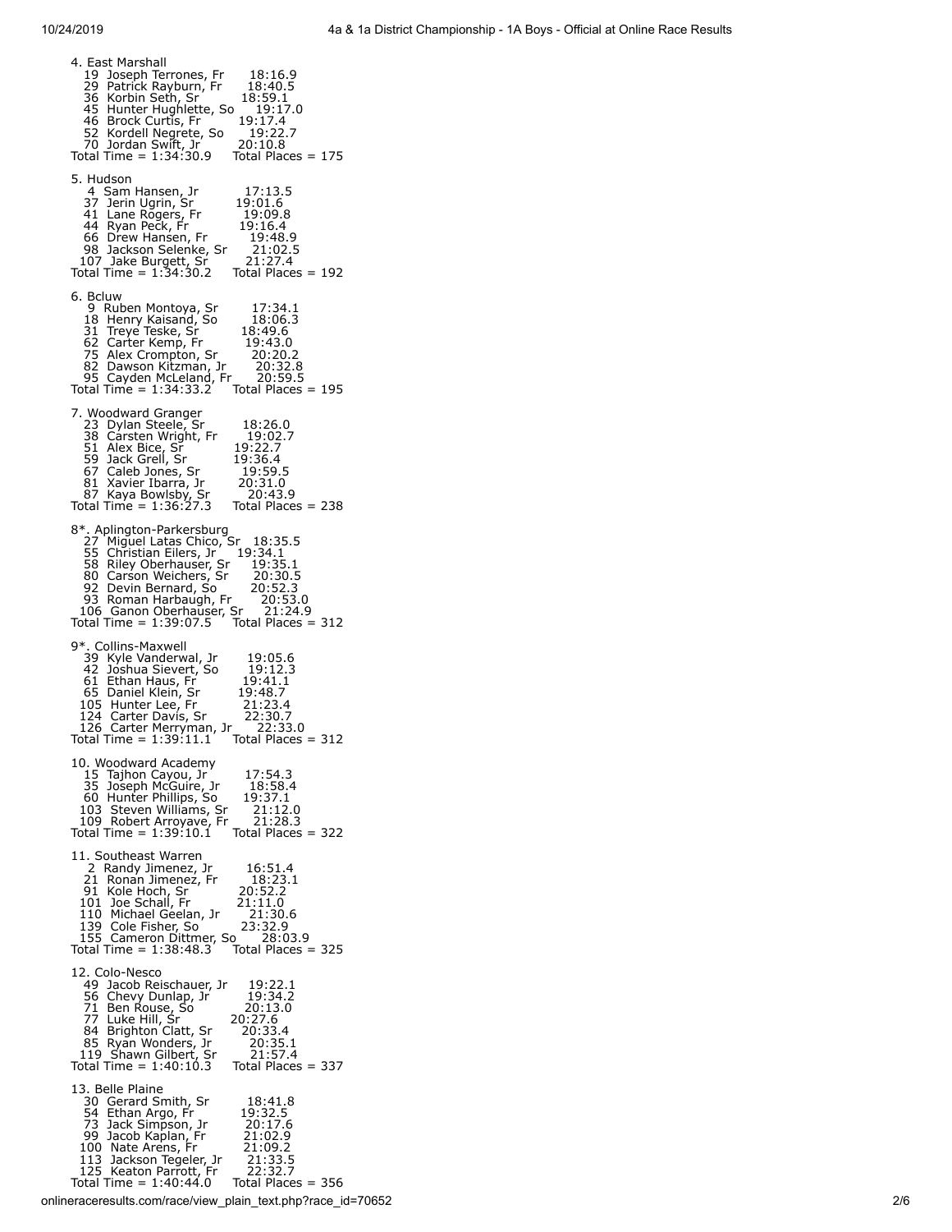4. East Marshall 19 Joseph Terrones, Fr 18:16.9 29 Patrick Rayburn, Fr 18:40.5 36 Korbin Seth, Sr<sup>'</sup> 18:59.1<br>45 Hunter Hughlette, So 19:17.0<br>46 Brock Curtis, Fr 19:17.4<br>52 Kordell Negrete, So 19:22.7 45 Hunter Hughlette, So 46 Brock Curtis, Fr 19:17.4 52 Kordell Negrete, So 19:22.7 70 Jordan Swift, Jr 20:10.8 Total Time = 1:34:30.9 Total Places = 175 5. Hudson 4 Sam Hansen, Jr 17:13.5 37 Jerin Ugrin, Sr 19:01.6 41 Lane Rogers, Fr 19:09.8 44 Ryan Peck, Fr 19:16.4 66 Drew Hansen, Fr 19:48.9 98 Jackson Selenke, Sr 21:02.5 107 Jake Burgett, Sr 21:27.4 Total Time = 1:34:30.2 Total Places = 192 6. Bcluw 9 Ruben Montoya, Sr 17:34.1 18 Henry Kaisand, So 18:06.3 31 Treye Teske, Sr 18:49.6 62 Carter Kemp, Fr 19:43.0 75 Alex Crompton, Sr 20:20.2 82 Dawson Kitzman, Jr 20:32.8 95 Cayden McLeland, Fr 20:59.5 Total Time = 1:34:33.2 Total Places = 195 7. Woodward Granger 23 Dylan Steele, Sr 18:26.0 38 Carsten Wright, Fr 19:02.7 51 Alex Bice, Sr 19:22.7 59 Jack Grell, Sr 19:36.4 67 Caleb Jones, Sr 19:59.5 81 Xavier Ibarra, Jr 20:31.0 87 Kaya Bowlsby, Sr 20:43.9 Total Time = 1:36:27.3 Total Places = 238 8\*. Aplington-Parkersburg<br>27 Miguel Latas Chico, Sr 18:35.5<br>55 Christian Eilers, Jr 19:34.1<br>58 Riley Oberhauser, Sr 19:35.1<br>80 Carson Weichers, Sr 20:30.5<br>92 Devin Bernard, So 20:52.3<br>93 Roman Harbaugh, Fr 20:53.0<br>106 Gan 9\*. Collins-Maxwell<br>
39 Kyle Vanderwal, Jr  $19:05.6$ <br>
42 Joshua Sievert, So  $19:12.3$ <br>
61 Ethan Haus, Fr  $19:41.1$ <br>
65 Daniel Klein, Sr  $19:48.7$ <br>
105 Hunter Lee, Fr  $21:23.4$ <br>
124 Carter Merryman, Jr  $22:30.7$ <br>
126 Carte 10. Woodward Academy 15 Tajhon Cayou, Jr 17:54.3 35 Joseph McGuire, Jr 18:58.4 60 Hunter Phillips, So 19:37.1 103 Steven Williams, Sr 21:12.0 109 Robert Arroyave, Fr 21:28.3 Total Time = 1:39:10.1 Total Places = 322 11. Southeast Warren 2 Randy Jimenez, Jr 16:51.4 21 Ronan Jimenez, Fr 18:23.1 91 Kole Hoch, Sr 20:52.2 101 Joe Schall, Fr 21:11.0 110 Michael Geelan, Jr 21:30.6 139 Cole Fisher, So 23:32.9 155 Cameron Dittmer, So 28:03.9 Total Time = 1:38:48.3 Total Places = 325 12. Colo-Nesco 49 Jacob Reischauer, Jr 19:22.1<br>56 Chevy Dunlap, Jr 19:34.2<br>71 Ben Rouse, So 20:13.0<br>77 Luke Hill, Sr 20:27.6<br>84 Brighton Clatt, Sr 20:33.4<br>85 Ryan Wonders, Jr 21:57.4<br>119 Shawn Gilbert, Sr 21:57.4 85 Ryan Wonders, Jr 20:35.1<br>119 Shawn Gilbert, Sr 21:57.4<br>Total Time = 1:40:10.3 Total Places = 337 13. Belle Plaine 30 Gerard Smith, Sr 18:41.8 54 Ethan Argo, Fr 19:32.5 73 Jack Simpson, Jr 20:17.6 99 Jacob Kaplan, Fr 21:02.9 100 Nate Arens, Fr 21:09.2 113 Jackson Tegeler, Jr 21:33.5 125 Keaton Parrott, Fr 22:32.7 Total Time = 1:40:44.0 Total Places = 356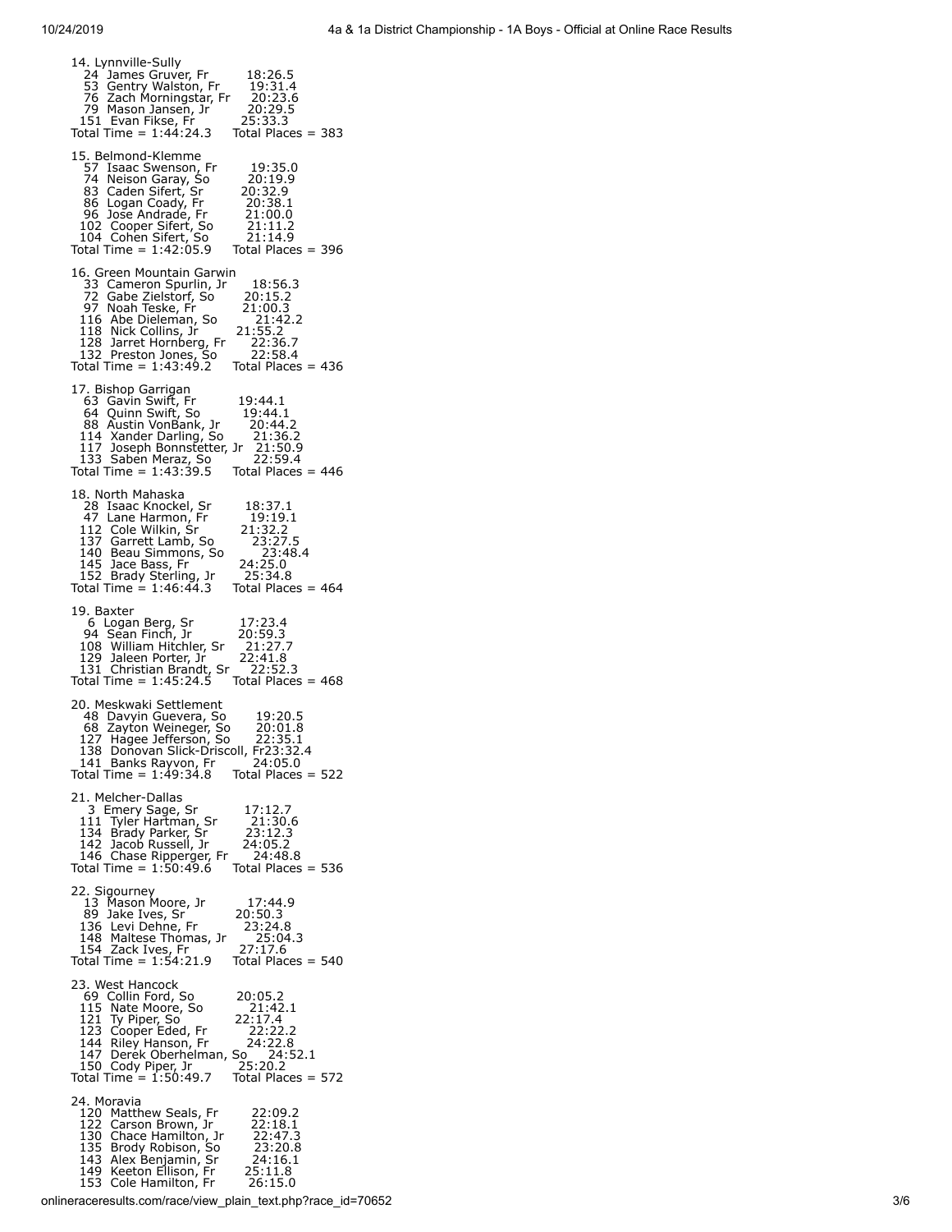| 14. Lynnville-Sully<br>24 James Gruver, Fr<br>18:26.5<br>E3 Gentry Walston, Fr<br>76 Zach Morningstar, Fr<br>79 Mason Jansen, Jr<br>151 Evan Fikse, Fr<br>19:31.4<br>20:23.6<br>20:29.5<br>25:33.3<br>Total Time = $1:44:24.3$<br>Total Places = 383                                                                                                                                   |
|----------------------------------------------------------------------------------------------------------------------------------------------------------------------------------------------------------------------------------------------------------------------------------------------------------------------------------------------------------------------------------------|
| 15. Belmond-Klemme<br>57 Isaac Swenson, Fr<br>19:35.0<br>24 Neison Garay, So<br>83 Caden Sifert, Sr<br>86 Logan Coady, Fr<br>96 Jose Andrade, Fr<br>102 Cooper Sifert, So<br>104 Cohen Sifert, So<br>1147:me = 1:42:05<br>20:19.9<br>20:32.9<br>20:38.1<br>21:00.0<br>21:11.2<br>21:14.9<br>Total Time = $1:42:05.9$<br>Total Places = 396                                             |
| 16. Green Mountain Garwin<br>18:56.3<br>33 Cameron Spurlin, Jr<br>33 Cabe Zielstorf, So<br>72 Gabe Zielstorf, So<br>97 Noah Teske, Fr<br>116 Abe Dieleman, So<br>118 Nick Collins, Jr<br>128 Jarret Hornberg, Fr<br>132 Preston Jones, So<br>132 Preston Jones, So<br>20:15.2<br>21:00.3<br>21:42.2<br>21:55.2<br>22:36.7<br>22:58.4<br>Total Time = $1:43:49.2$<br>Total Places = 436 |
| 17. Bishop Garrigan<br>63 Gavin Swift, Fr<br>19:44.1<br>64 Quinn Swift, So<br>88 Austin VonBank, Jr<br>88 Austin VonBank, Jr<br>114 Xander Darling, So<br>117 Joseph Bonnsteter, Jr<br>133 Saben Meraz, So<br>Total Time = 1:43:39.5 Tot<br>19:44.1<br>20:44.2<br>21:36.2<br>21:50.9<br>22:59.4<br>Total Places = $446$                                                                |
| 18. North Mahaska<br>10. ivolui irialista<br>28 Isaac Knockel, Sr<br>47 Lane Harmon, Fr<br>112 Cole Wilkin, Sr<br>137 Garrett Lamb, So<br>145 Jace Bass, Fr<br>152 Brady Sterling, Jr<br>Total Time = 1:46:44.3<br>18:37.1<br>19:19.1<br>21:32.2<br>23:27.5<br>23:48.4<br>24:25.0<br>25:34.8<br>Total Places = 464                                                                     |
| 19. Baxter<br>17:23.4<br>19. Buchen<br>6 Logan Berg, Sr<br>94 Sean Finch, Jr<br>108 William Hitchler, Sr<br>129 Jaleen Porter, Jr<br>131 Christian Brandt, Sr<br>Total Time = 1:45:24.5<br>20:59.3<br>21:27.7<br>22:41.8<br>22:52.3<br>Total Places = $468$                                                                                                                            |
| 20. Meskwaki Settlement<br>19:20.5<br>48 Davyin Guevera, So<br>68 Zayton Weineger, So<br>20:01.8<br>127 Hagee Jefferson, So 22:35.1<br>138 Donovan Slick-Driscoll, Fr23:32.4<br>$141$ Banks Rayvon, Fr $24:05.0$<br>Total Time = 1:49:34.8 Total Places = 522                                                                                                                          |
| 21. Melcher-Dallas<br>3 Emery Sage, Sr<br>111 Tyler Hartman, Sr<br>17:12.7<br>21:30.6<br>23:12.3<br>134 Brady Parker, Sr<br>142 Jacob Russell, Jr<br>146 Chase Ripperger, Fr<br>Total Time = 1:50:49.6<br>24:05.2<br>24:48.8<br>Total Places = $536$                                                                                                                                   |
| 22. Sigourney<br>13 Mason Moore, Jr<br>89 Jake Ives, Sr<br>136 Levi Dehne, Fr<br>148 Maltese Thomas, Jr<br>154 Zack Ives, Fr<br>Total Time = 1:54:21.9<br>17:44.9<br>20:50.3<br>23:24.8<br>25:04.3<br>27:17.6<br>Total Places $= 540$                                                                                                                                                  |
| 23. West Hancock<br>20:05.2<br>69 Collin Ford, So<br>115 Nate Moore, So<br>121 Ty Piper, So<br>123 Cooper Eded, Fr<br>21:42.1<br>22:17.4<br>22:22.2<br>144 Riley Hanson, Fr 24:22.8<br>147 Derek Oberhelman, So 24:52.1<br>150 Cody Piper, Jr 25:20.2<br>151 Time - 1:50:49 7 Total Picces -<br>Total Time $= 1:50:49.7$<br>Total Places = 572                                         |
| 24. Moravia<br>120 Matthew Seals, Fr<br>22:09.2<br>22:18.1<br>122 Carson Brown, Jr<br>22:47.3<br>23:20.8<br>130 Chace Hamilton, Jr.<br>135 Brody Robison, So<br>143 Alex Benjamin, Sr<br>149 Keeton Ellison, Fr<br>153 Cole Hamilton, Fr<br>24:16.1<br>25:11.8<br>26:15.0                                                                                                              |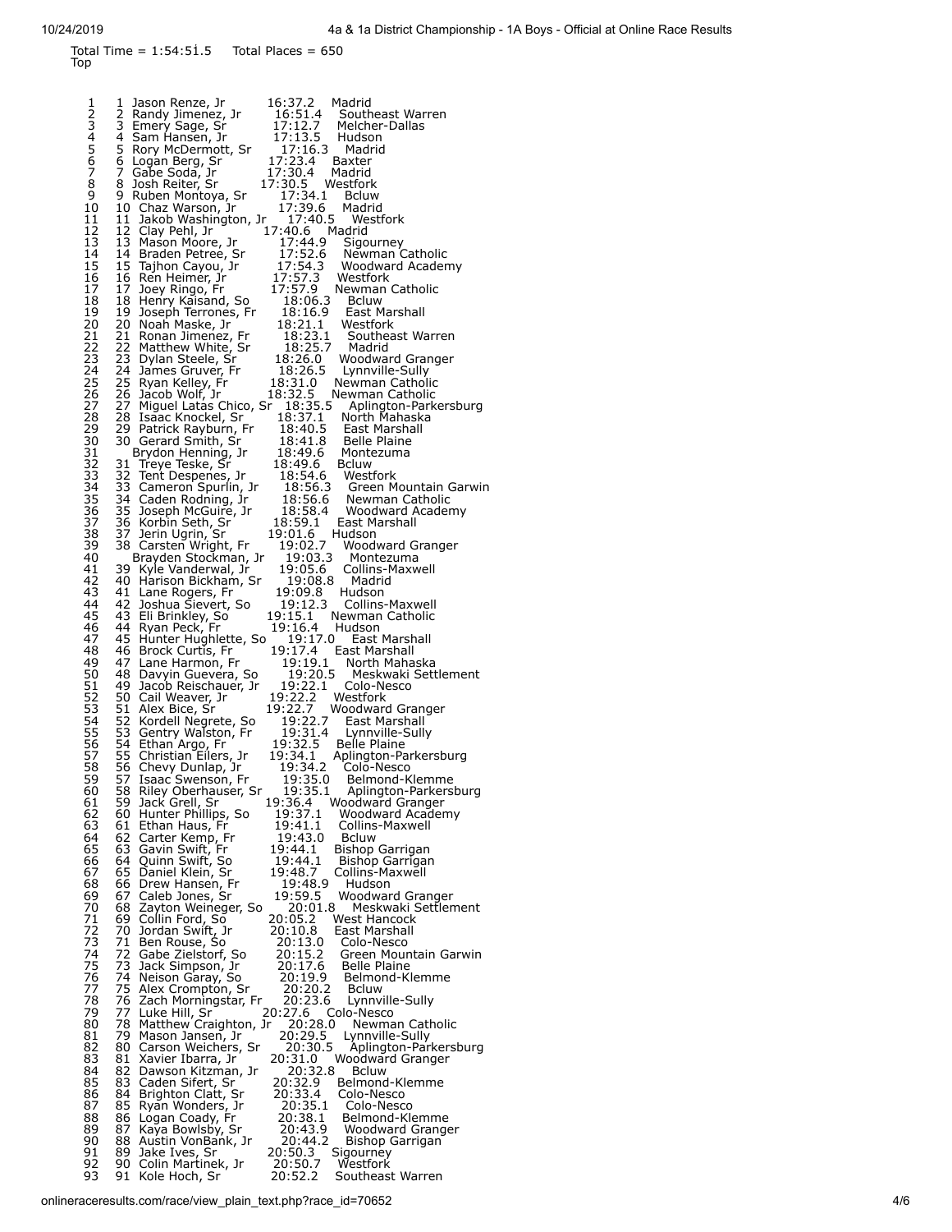<span id="page-3-0"></span>

| <b>lop</b>                  | Total Time = $1:54:51.5$ Total Places = 650                                                                                                                                                                                                         |                                                                      |                                                                                                                                                                                                 |
|-----------------------------|-----------------------------------------------------------------------------------------------------------------------------------------------------------------------------------------------------------------------------------------------------|----------------------------------------------------------------------|-------------------------------------------------------------------------------------------------------------------------------------------------------------------------------------------------|
| 1                           | 1<br>Jason Renze, Jr<br>2 Randy Jimenez, Jr<br>3 Emery Sage, Sr                                                                                                                                                                                     | 16:37.2<br>16:51.4<br>17:12.7                                        | Madrid<br>Southeast Warren<br>Melcher-Dallas                                                                                                                                                    |
| 2345678                     | 4 Sam Hansen, Jr<br>3 Sam Hansen, Jr<br>5 Rory McDermott, Sr<br>5 Rory McDermott, Sr<br>6 Logan Berg, Sr<br>7 Gabe Soda, Jr<br>8 Josh Reiter, Sr<br>17:30.4 Madrid<br>8 Josh Reiter, Sr<br>17:30.5 Westfork<br>17:30.5 Westfork<br>17:30.5 Westfork | 17:16.3 Madrid                                                       | Hudson                                                                                                                                                                                          |
| 9<br>10                     | 9 Ruben Montoya, Sr<br>10 Chaz Warson, Jr                                                                                                                                                                                                           | 17:34.1 Bcluw<br>17:39.6 Madrid                                      | Madrid                                                                                                                                                                                          |
| 11<br>12<br>13              | 11 Jakob Washington, Jr 17:40.5 Westfork<br>12 Clay Pehl, Jr                                                                                                                                                                                        | 17:40.6 Madrid                                                       |                                                                                                                                                                                                 |
| 14<br>15<br>16              | 17:40.6 Madrid<br>17:40.6 Madrid<br>17:52.6 Newman Catholic<br>17:52.6 Newman Catholic<br>15 Tajhon Cayou, Jr 17:54.3 Woodward Acader<br>16 Ren Heimer, Jr 17:57.3 Westfork                                                                         |                                                                      | Woodward Academy                                                                                                                                                                                |
| 17<br>18<br>19              | 17 Joey Ringo, Fr<br>18 Henry Kaisand, So<br>19 Joseph Terrones, Fr<br>20 Noah Maske, Jr                                                                                                                                                            | 17:57.9 Newmar<br>18:06.3 Bcluw<br>18:16.9 East M<br>18:21.1 Westfol | Newman Catholic<br>East Marshall                                                                                                                                                                |
| 20<br>21<br>22<br>23        | 21 Ronan Jimenez, Fr<br>22 Matthew White, Sr<br>23 Dylan Steele, Sr                                                                                                                                                                                 | 18:23.1<br>18:25.7<br>18:26.0                                        | Westfork<br>Southeast Warren<br>Madrid<br>Woodward Granger                                                                                                                                      |
| 24<br>25<br>26              | 24 James Gruver, Fr<br>25 Ryan Kelley, Fr<br>26 Jacob Wolf, Jr                                                                                                                                                                                      | 18:26.5<br>18:31.0                                                   | Lynnville-Sully<br>Newman Catholic<br>18:32.5 Newman Catholic                                                                                                                                   |
| 27<br>28<br>29              | 27 Miguel Latas Chico, Sr 18:35.5<br>28 Isaac Knockel, Sr 18:37.1<br>29 Patrick Rayburn, Fr 18:40.5 East Marshall<br>30 Gerard Smith, Sr 18:40.5 East Marshall                                                                                      |                                                                      | Aplington-Parkersburg<br>North Mahaska                                                                                                                                                          |
| 30<br>31<br>32<br>33        | Brydon Henning, Jr<br>31 Treye Teske, Sr                                                                                                                                                                                                            | 18:49.6<br>18:49.6                                                   | Montezuma<br><b>Bcluw</b>                                                                                                                                                                       |
| 34<br>35<br>36              |                                                                                                                                                                                                                                                     |                                                                      | 32 Tent Despenes, Jr 18:54.6 Westfork<br>33 Cameron Spurlin, Jr 18:56.3 Green Mountain Garwin<br>34 Caden Rodning, Jr 18:56.6 Newman Catholic<br>35 Joseph McGuire, Jr 18:58.4 Woodward Academy |
| 37<br>38<br>39<br>40        | 36 Korbin Seth, Sr<br>37 Jerin Ugrin, Sr<br>38 Carsten Wright, Fr<br>Brayden Stockman, Jr                                                                                                                                                           | 19:01.6 Hudson<br>19:03.3                                            | 18:59.1 East Marshall<br>19:02.7 Woodward Granger<br>Montezuma                                                                                                                                  |
| 41<br>42<br>43              | 39 Kyle Vanderwal, Jr<br>بي المستحدين<br>40 Harison Bickham, Sr<br>41 Lane Pessite C<br>41 Lane Rogers, Fr                                                                                                                                          | 19:05.6<br>19:08.8<br>19:09.8                                        | Collins-Maxwell<br>Madrid<br>Hudson                                                                                                                                                             |
| 44<br>45<br>46              | 42 Joshua Sievert, So<br>43 Eli Brinkley, So<br>44 Ryan Peck, Fr                                                                                                                                                                                    | 19:12.3<br>19:15.1 Newman<br>19:16.4 Hudson                          | Collins-Maxwell<br>Newman Catholic<br>19:17.0 East Marshall                                                                                                                                     |
| 47<br>48<br>49<br>50        | 45 Hunter Hughlette, So<br>46 Brock Curtis, Fr<br>47 Lane Harmon, Fr<br>48 Davyin Guevera, So                                                                                                                                                       | 19:20.5                                                              | 19:17.4 East Marshall<br>19:19.1 North Mahaska<br>Meskwaki Settlement                                                                                                                           |
| $\frac{51}{52}$<br>53<br>54 | 49 Jacob Reischauer, Jr<br>50 Cail Weaver, Jr<br>51 Alex Bice, Sr<br>52 Kordell Negrete, So                                                                                                                                                         | 19:22.2 Westfork                                                     | 19:22.1 Colo-Nesco<br>19:22.7 Woodward Granger                                                                                                                                                  |
| $\frac{55}{2}$<br>56        | 53 Gentry Walston, Fr<br>54 Ethan Argo, Fr<br>55 Christian Eilers, Jr                                                                                                                                                                               | 19:22.7<br>19:32.5<br>19:34.1                                        | East Marshall<br>19:31.4 Lynnville-Sully<br>Belle Plaine<br>Aplington-Parkersburg                                                                                                               |
| 57<br>58<br>59<br>60        | 56 Chevy Dunlap, Jr<br>57 Isaac Swenson, Fr<br>58 Riley Oberhauser, Sr                                                                                                                                                                              | 19:34.2<br>19:35.0<br>19:35.1                                        | Colo-Nesco<br>Belmond-Klemme<br>Aplington-Parkersburg                                                                                                                                           |
| 61<br>62<br>63<br>64        | 59 Jack Grell, Sr<br>60 Hunter Phillips, So<br>61 Ethan Haus, Fr<br>62 Carter Kemp, Fr                                                                                                                                                              | 19:36.4<br>19:37.1<br>19:41.1<br>19:43.0                             | Woodward Granger<br>Woodward Academy<br>Collins-Maxwell<br>Bcluw                                                                                                                                |
| 65<br>66<br>67              | 63 Gavin Swift, Fr<br>64 Quinn Swift, So<br>65 Daniel Klein, Sr                                                                                                                                                                                     | 19:44.1<br>19:44.1<br>19:48.7                                        | Bishop Garrigan<br><b>Bishop Garrigan</b><br>Collins-Maxwell                                                                                                                                    |
| 68<br>69<br>70<br>71        | 66 Drew Hansen, Fr<br>67 Caleb Jones, Sr<br>68 Zayton Weineger, So<br>69 Collin Ford, So                                                                                                                                                            | 19:48.9<br>19:59.5<br>20:01.8<br>20:05.2                             | Hudson<br>Woodward Granger<br>Meskwaki Settlement<br>West Hancock                                                                                                                               |
| 72<br>73<br>74              | 70 Jordan Swift, Jr<br>71 Ben Rouse, So<br>72<br>Gabe Zielstorf, So                                                                                                                                                                                 | 20:10.8<br>20:13.0<br>20:15.2                                        | East Marshall<br>Colo-Nesco<br>Green Mountain Garwin                                                                                                                                            |
| 75<br>76<br>77<br>78        | 73 Jack Simpson, Jr<br>74 Neison Garay, So<br>75 Alex Crompton, Sr<br>76<br>Zach Morningstar, Fr                                                                                                                                                    | 20:17.6<br>20:19.9<br>20:20.2<br>20:23.6                             | Belle Plaine<br>Belmond-Klemme<br><b>Bcluw</b><br>Lynnville-Sully                                                                                                                               |
| 79<br>80<br>81              | 77 Luke Hill, Sr<br>78 Matthew Craighton, Jr<br>79<br>Mason Jansen, Jr                                                                                                                                                                              | 20:27.6<br>20:28.0<br>20:29.5                                        | Colo-Nesco<br>Newman Catholic<br>Lynnville-Sully                                                                                                                                                |
| 82<br>83<br>84              | 80 Carson Weichers, Sr<br>81 Xavier Ibarra, Jr<br>82 Dawson Kitzman, Jr                                                                                                                                                                             | 20:30.5<br>20:31.0<br>20:32.8                                        | Aplington-Parkersburg<br><b>Woodward Granger</b><br><b>Bcluw</b>                                                                                                                                |
| 85<br>86<br>87<br>88        | 83 Caden Sifert, Sr<br>84 Brighton Clatt, Sr<br>85 Ryan Wonders, Jr<br>86 Logan Coady, Fr                                                                                                                                                           | 20:32.9<br>20:33.4<br>20:35.1<br>20:38.1                             | Belmond-Klemme<br>Colo-Nesco<br>Colo-Nesco<br>Belmond-Klemme                                                                                                                                    |
| 89<br>90<br>91              | 87<br>Kaya Bowlsby, Sr<br>88 Austin VonBank, Jr<br>89 Jake Ives, Sr                                                                                                                                                                                 | 20:43.9<br>20:44.2<br>20:50.3<br>20:50.7                             | Woodward Granger<br><b>Bishop Garrigan</b><br>Sigourney                                                                                                                                         |
| 92<br>93                    | 90 Colin Martinek, Jr<br>91<br>Kole Hoch, Sr                                                                                                                                                                                                        | 20:52.2                                                              | Westfork<br>Southeast Warren                                                                                                                                                                    |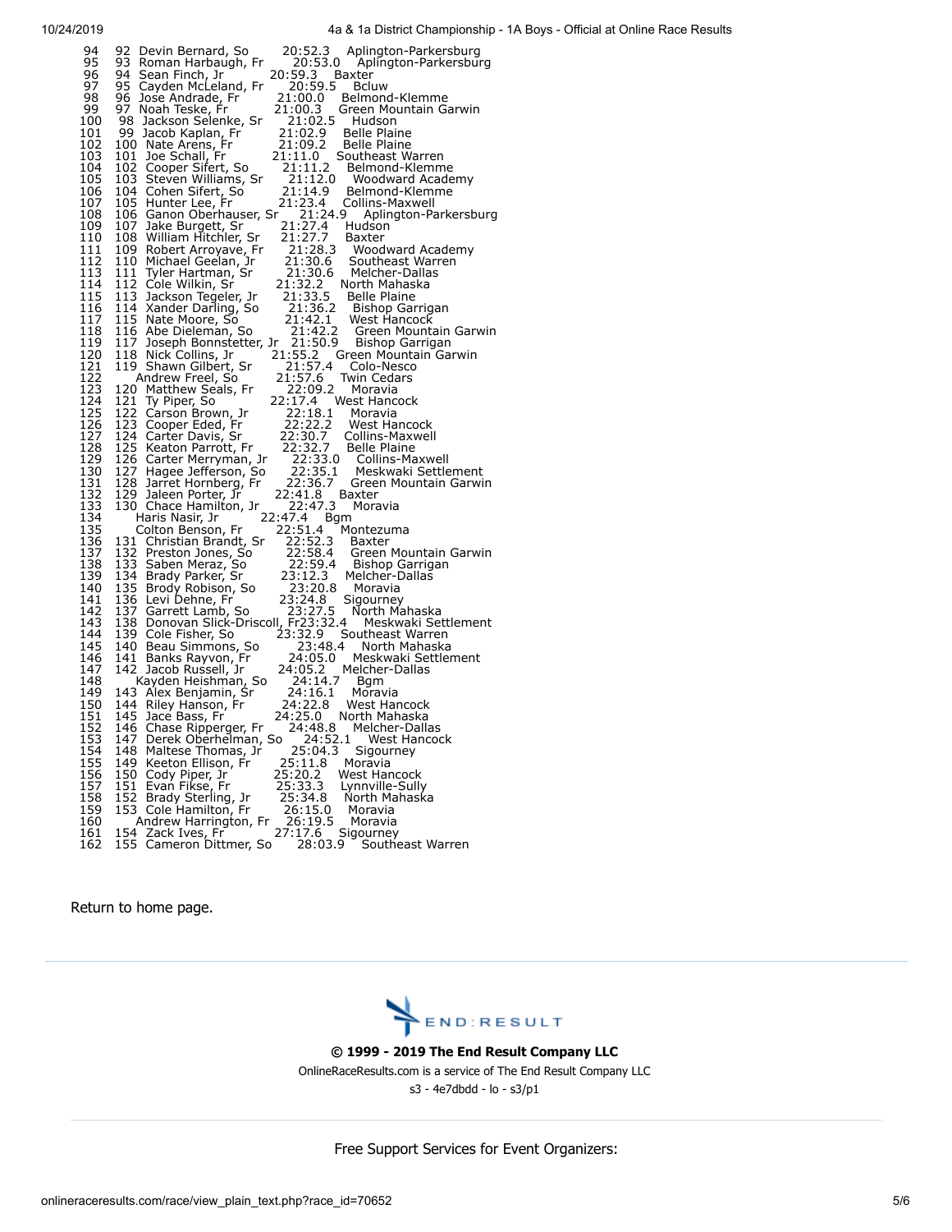| 94<br>95                               | 92<br>20:52.3<br>20:53.0<br>Devin Bernard, So<br>Aplington-Parkersburg<br>93<br>Roman Harbaugh, Fr<br>Aplington-Parkersburg                                                                                                                                                                |
|----------------------------------------|--------------------------------------------------------------------------------------------------------------------------------------------------------------------------------------------------------------------------------------------------------------------------------------------|
| 96<br>97                               | 94<br>20:59.3<br>Sean Finch, Jr<br>Baxter<br>95 Cayden McLeland, Fr<br>20:59.5<br><b>Bcluw</b>                                                                                                                                                                                             |
| 98                                     | 96<br>Jose Andrade, Fr<br>21:00.0<br>Belmond-Klemme                                                                                                                                                                                                                                        |
| 99<br>100                              | Noah Teske, Fr<br>21:00.3<br>97<br>Green Mountain Garwin<br>98<br>21:02.5<br>Jackson Selenke, Sr<br>Hudson                                                                                                                                                                                 |
| 101                                    | 99<br>21:02.9<br><b>Belle Plaine</b><br>Jacob Kaplan, Fr                                                                                                                                                                                                                                   |
| 102<br>103                             | 100 Nate Arens, Fr<br>21:09.2<br><b>Belle Plaine</b><br>101<br>21:11.0<br>Southeast Warren                                                                                                                                                                                                 |
| 104                                    | Joe Schall, Fr<br>Cooper Sifert, So<br>Steven Williams, Sr<br>-------<br>21:11.2<br>_21:12.0<br>102<br>Belmond-Klemme                                                                                                                                                                      |
| 105<br>106                             | 103<br>Woodward Academy<br>104 Cohen Sifert, So<br>21:14.9<br>Belmond-Klemme                                                                                                                                                                                                               |
| 107                                    | 105<br>21:23.4<br>Hunter Lee, Fr<br>Collins-Maxwell                                                                                                                                                                                                                                        |
| 108<br>109                             | 21:24.9<br>106<br>Ganon Oberhauser, Sr<br>Aplington-Parkersburg<br>107<br>Jake Burgett, Sr<br>21:27.4<br>Hudson                                                                                                                                                                            |
| 110                                    | 108<br>William Hitchler, Sr<br>21:27.7<br>21:28.3<br>21:30.6<br>21:30.6<br>Baxter                                                                                                                                                                                                          |
| 111<br>112                             | 109<br>Robert Arroyave, Fr<br>Woodward Academy<br>Southeast Warren                                                                                                                                                                                                                         |
| 113                                    | 110 Michael Geelan, Jr<br>111 Tyler Hartman, Sr<br>Melcher-Dallas                                                                                                                                                                                                                          |
| 114<br>115                             | 112<br>21:32.2<br>Cole Wilkin, Sr<br>North Mahaska<br>113<br>21:33.5<br>Jackson Tegeler, Jr<br><b>Belle Plaine</b>                                                                                                                                                                         |
| 116                                    | 114 Xander Darling, So<br>21:36.2<br>Bishop Garrigan                                                                                                                                                                                                                                       |
| 117<br>118                             | 115 Nate Moore, So<br>116 Abe Dieleman, 9<br>West Hancock<br>Abe Dieleman, So<br>Green Mountain Garwin                                                                                                                                                                                     |
| 119                                    | 117<br>Joseph Bonnstetter, Jr<br>Bishop Garrigan                                                                                                                                                                                                                                           |
| $\frac{120}{121}$                      | 21:42.1<br>21:42.2<br>21:50.9<br>Jr 21:55.2<br>21:57.4<br>118<br>Green Mountain Garwin<br>Nick Collins, Jr<br>119<br>Shawn Gilbert, Sr<br>Colo-Nesco                                                                                                                                       |
| 122                                    | $21:57.6$<br>22:09.2<br>Andrew Freel, So<br>Twin Cedars                                                                                                                                                                                                                                    |
| 123<br>124                             | 120<br>Matthew Seals, Fr<br>Ty Piper, So<br>Carson Brown, Jr<br>Moravia<br>22:17.4<br>West Hancock                                                                                                                                                                                         |
| 125                                    | 121 Ty Piper, So<br>122 Carson Brown, J<br>123 Cooper Eded, Fr<br>22:18.1<br>22:22.2<br>Moravia                                                                                                                                                                                            |
| 126<br>127                             | West Hancock<br>22:30.7<br>Collins-Maxwell                                                                                                                                                                                                                                                 |
| 128                                    | 124 Carter Davis, Sr<br>125 Keaton Parrott, Fr<br>22:32.7<br><b>Belle Plaine</b>                                                                                                                                                                                                           |
| 129                                    | 123 Nearun Farius, Fr<br>127 Hagee Jefferson, So<br>128 Jarret Hornberg, Fr<br>129 Jaleen Porter, Jr<br>-2.:32.:3<br>  22:33.0<br>  22:35.1<br>  22:36.7<br>Collins-Maxwell<br>Meskwaki Settlement                                                                                         |
| $\frac{150}{131}$<br>$\frac{132}{132}$ | Green Mountain Garwin<br>22:41.8                                                                                                                                                                                                                                                           |
| 133                                    | Baxter<br>22:47.3<br>130 Chace Hamilton, Jr<br>Moravia                                                                                                                                                                                                                                     |
| 134                                    | 22:47.4<br>Haris Nasir, Jr<br>Bgm<br>22:51.4<br>Montezuma                                                                                                                                                                                                                                  |
| $\frac{135}{136}$<br>$\frac{137}{132}$ | Colton Benson, Fr<br>Baxter                                                                                                                                                                                                                                                                |
| 138                                    | Colton Denson,<br>131 Christian Brandt, Sr<br>132 Preston Jones, So<br>133 Saben Meraz, So<br>133 Saben Meraz, So<br>134 Brady Parker, Sr<br>135 Brody Robison, So<br>136 Levi Dehne, Fr<br>136 Levi Dehne, Fr<br>137 Garrett Lamb, So<br>23:2<br>Green Mountain Garwin<br>Bishop Garrigan |
| 139                                    | Melcher-Dallas                                                                                                                                                                                                                                                                             |
| 140<br>141                             | Moravia<br>Sigourney                                                                                                                                                                                                                                                                       |
| 142                                    | North Mahaska                                                                                                                                                                                                                                                                              |
| 143<br>144                             | Meskwaki Settlement<br>Southeast Warren                                                                                                                                                                                                                                                    |
| 145                                    | North Mahaska                                                                                                                                                                                                                                                                              |
| 146<br>147                             | 141<br>24:05.0<br>Banks Rayvon, Fr<br>Meskwaki Settlement<br>142<br>24:05.2<br>Jacob Russell, Jr<br>Melcher-Dallas                                                                                                                                                                         |
| 148                                    | 24:14.7<br>Bgm                                                                                                                                                                                                                                                                             |
| 149<br>150                             | Kayden Heishman, So<br>8 Alex Benjamin, Sr<br>1 Riley Hanson, Fr<br>143<br>24:16.1<br>Moravia<br>144<br>West Hancock                                                                                                                                                                       |
| 151                                    | 24:22.8<br>24:25.0<br>145<br>Jace Bass, Fr<br>North Mahaska                                                                                                                                                                                                                                |
| 152<br>153                             | 146<br>24:48.8<br>Chase Ripperger, Fr<br>Melcher-Dallas<br>147 Derek Oberhelman, So<br><b>West Hancock</b>                                                                                                                                                                                 |
| 154                                    | 24:52.1<br>25:04.3<br>Sigourney<br>148 Maltese Thomas, Jr                                                                                                                                                                                                                                  |
|                                        | 149 Keeton Ellison, Fr<br>25:11.8<br>Moravia<br>West Hancock                                                                                                                                                                                                                               |
| 155<br>156<br>157<br>157               | 150 Cody Piper, Jr<br>151 Evan Fikse, Fr<br>152 Brady Sterling<br>25:20.2<br>25:33.3<br>25:34.8<br>Lynnville-Sully                                                                                                                                                                         |
| 158<br>159                             | Brady Sterling, Jr<br>North Mahaska<br>153<br>Cole Hamilton, Fr<br>26:15.0<br>Moravia                                                                                                                                                                                                      |
| 160                                    | 26:19.5<br>Andrew Harrington, Fr<br>Moravia                                                                                                                                                                                                                                                |
| 161<br>162                             | 154 Zack Ives, Fr<br>155 Cameron Dittmer, So<br>27:17.6<br>Sigourney<br>28:03.9<br>Southeast Warren                                                                                                                                                                                        |

Return to [home page.](http://onlineraceresults.com/race/main.html)



#### **© 1999 - 2019 The End Result Company LLC**

[OnlineRaceResults.com](http://endresultcompany.com/) is a service of The End Result Company LLC

s3 - 4e7dbdd - lo - s3/p1

Free Support Services for Event Organizers: